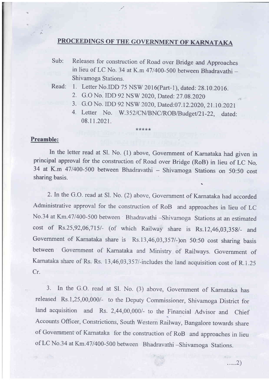## PROCEEDINGS OF THE GOVERNMENT OF KARNATAKA

- Sub: Releases for construction of Road over Bridge and Approaches in lieu of LC No. 34 at K.m 47/400-500 between Bhadravathi -Shivamoga Stations.
- Read: 1. Letter No.IDD 75 NSW 2016(Part-1), dated: 28.10.2016.

\*\*\*\*\*

- 2. G.O No. IDD 92 NSW 2020, Dated: 27.0g.2020
- 3. G.O No. IDD 92 NSW 2020, Dated:07.12.2020, 21.10.2021
- 4. Letter No. W.352/CN/BNC/ROB/Budget/21-22, dated: 08.11 .2021.

## Preamble:

,;l

In the letter read at S1. No. (1) above, Government of Karnataka had given in principal approval for the construction of Road over Bridge (RoB) in lieu of LC No, 34 at K.m 47/400-500 between Bhadravathi - Shivamoga Stations on 50:50 cost sharing basis.

2. In the G.O. read at Sl. No. (2) above, Government of Karnataka had accorded Administrative approval for the construction of RoB and approaches in lieu of LC No.34 at Km.47/400-500 between Bhadravathi -Shivamoga Stations at an estimated cost of Rs.25,92,06,715/- (of which Railway share is Rs.12,46,03,358/- and Govemment of Karnataka share is Rs.13,46,03,3571-)on 50:50 cost sharing basis between Government of Karnataka and Ministry of Railways. Government of Karnataka share of Rs. Rs. 13,46,03,357/-includes the land acquisition cost of R.1.25 Cr.

3. In the G.O. read at Sl. No. (3) above, Government of Karnataka has released Rs.1,25,00,000/- to the Deputy Commissioner, Shivamoga District for land acquisition and Rs. 2,44,00,000/- to the Financial Advisor and Chief Accounts Officer, Constrictions, South Western Railway, Bangalore towards share of Government of Karnataka for the construction of RoB and approaches in lieu of LC No.34 at Km.47/400-500 between Bhadravathi -Shivamoga Stations.

 $\dots 2)$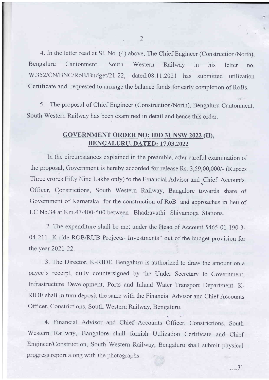4. In the letter read at Sl. No. (4) above, The Chief Engineer (Construction/North), Bengaluru Cantonment, South Western Railway in his letter no. W.352/CN/BNC/RoB/Budget/21-22, dated:08.11.2021 has submitted utilization Certificate and requested to arrange the balance funds for early completion of RoBs.

 $-2-$ 

5. The proposal of Chief Engineer (Construction/North), Bengaluru Cantonment, South Western Railway has been examined in detail and hence this order.

## GOVERNMENT ORDER NO: IDD 31 NSW 2022 (II), BENGALURU, DATED: 17 .03.2022

In the circumstances explained in the preamble, after careful examination of the proposal, Government is hereby accorded for release Rs. 3,59,00,000/- (Rupees Three crores Fifty Nine Lakhs only) to the Financial Advisor and Chief Accounts Officer, Constrictions, South Western Railway, Bangalore towards share of Government of Karnataka for the construction of RoB and approaches in lieu of LC No.34 at Km.47/400-500 between Bhadravathi -Shivamoga Stations.

2. The expenditure shall be met under the Head of Account 5465-01-190-3-04-211- K-ride ROB/RUB Projects- Investments" out of the budget provision for the year 2021-22.

3. The Director, K-RIDE, Bengaluru is authorized to draw the amount on <sup>a</sup> payee's receipt, dully countersigned by the Under Secretary to Government, Infrastructure Development, Ports and Inland Water Transport Department. K-RIDE shall in turn deposit the same with the Financial Advisor and Chief Accounts Officer, Constrictions, South Western Railway, Bengaluru.

4. Financial Advisor and Chief Accounts Officer, Constrictions, South Western Railway, Bangalore shall furnish Utilization Certificate and Chief Engineer/Construction, South Western Railway, Bengaluru shall submit physical progress report along with the photographs.

 $\dots 3)$